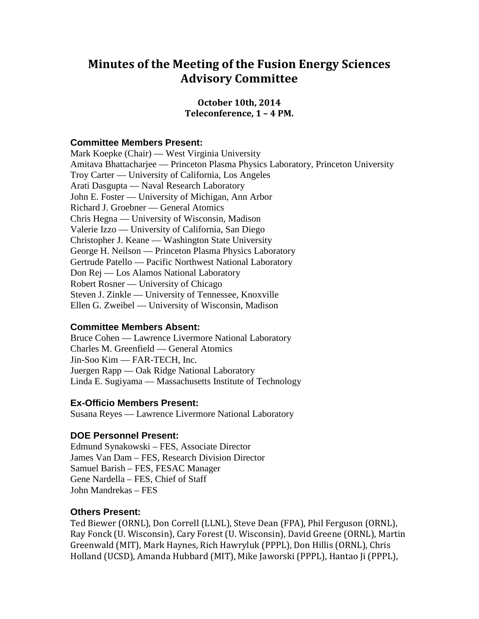# **Minutes of the Meeting of the Fusion Energy Sciences Advisory Committee**

## **October 10th, 2014 Teleconference, 1 – 4 PM.**

### **Committee Members Present:**

Mark Koepke (Chair) — West Virginia University Amitava Bhattacharjee — Princeton Plasma Physics Laboratory, Princeton University Troy Carter — University of California, Los Angeles Arati Dasgupta — Naval Research Laboratory John E. Foster — University of Michigan, Ann Arbor Richard J. Groebner — General Atomics Chris Hegna — University of Wisconsin, Madison Valerie Izzo — University of California, San Diego Christopher J. Keane — Washington State University George H. Neilson — Princeton Plasma Physics Laboratory Gertrude Patello — Pacific Northwest National Laboratory Don Rej — Los Alamos National Laboratory Robert Rosner — University of Chicago Steven J. Zinkle — University of Tennessee, Knoxville Ellen G. Zweibel — University of Wisconsin, Madison

### **Committee Members Absent:**

Bruce Cohen — Lawrence Livermore National Laboratory Charles M. Greenfield — General Atomics Jin-Soo Kim — FAR-TECH, Inc. Juergen Rapp — Oak Ridge National Laboratory Linda E. Sugiyama — Massachusetts Institute of Technology

### **Ex-Officio Members Present:**

Susana Reyes — Lawrence Livermore National Laboratory

### **DOE Personnel Present:**

Edmund Synakowski – FES, Associate Director James Van Dam – FES, Research Division Director Samuel Barish – FES, FESAC Manager Gene Nardella – FES, Chief of Staff John Mandrekas – FES

### **Others Present:**

Ted Biewer (ORNL), Don Correll (LLNL), Steve Dean (FPA), Phil Ferguson (ORNL), Ray Fonck (U. Wisconsin), Cary Forest (U. Wisconsin), David Greene (ORNL), Martin Greenwald (MIT), Mark Haynes, Rich Hawryluk (PPPL), Don Hillis (ORNL), Chris Holland (UCSD), Amanda Hubbard (MIT), Mike Jaworski (PPPL), Hantao Ji (PPPL),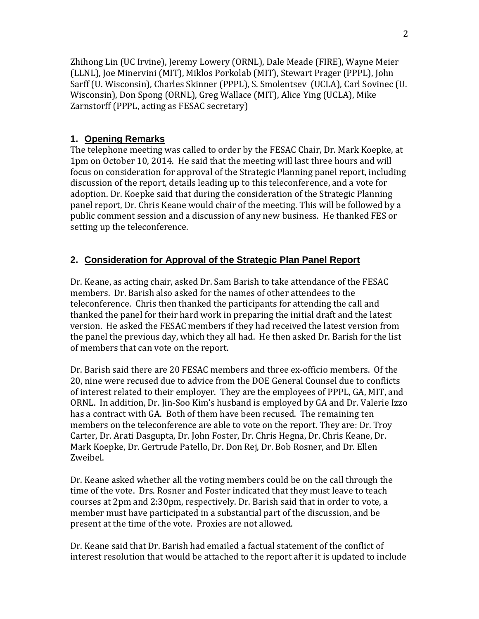Zhihong Lin (UC Irvine), Jeremy Lowery (ORNL), Dale Meade (FIRE), Wayne Meier (LLNL), Joe Minervini (MIT), Miklos Porkolab (MIT), Stewart Prager (PPPL), John Sarff (U. Wisconsin), Charles Skinner (PPPL), S. Smolentsev (UCLA), Carl Sovinec (U. Wisconsin), Don Spong (ORNL), Greg Wallace (MIT), Alice Ying (UCLA), Mike Zarnstorff (PPPL, acting as FESAC secretary)

# **1. Opening Remarks**

The telephone meeting was called to order by the FESAC Chair, Dr. Mark Koepke, at 1pm on October 10, 2014. He said that the meeting will last three hours and will focus on consideration for approval of the Strategic Planning panel report, including discussion of the report, details leading up to this teleconference, and a vote for adoption. Dr. Koepke said that during the consideration of the Strategic Planning panel report, Dr. Chris Keane would chair of the meeting. This will be followed by a public comment session and a discussion of any new business. He thanked FES or setting up the teleconference.

# **2. Consideration for Approval of the Strategic Plan Panel Report**

Dr. Keane, as acting chair, asked Dr. Sam Barish to take attendance of the FESAC members. Dr. Barish also asked for the names of other attendees to the teleconference. Chris then thanked the participants for attending the call and thanked the panel for their hard work in preparing the initial draft and the latest version. He asked the FESAC members if they had received the latest version from the panel the previous day, which they all had. He then asked Dr. Barish for the list of members that can vote on the report.

Dr. Barish said there are 20 FESAC members and three ex-officio members. Of the 20, nine were recused due to advice from the DOE General Counsel due to conflicts of interest related to their employer. They are the employees of PPPL, GA, MIT, and ORNL. In addition, Dr. Jin-Soo Kim's husband is employed by GA and Dr. Valerie Izzo has a contract with GA. Both of them have been recused. The remaining ten members on the teleconference are able to vote on the report. They are: Dr. Troy Carter, Dr. Arati Dasgupta, Dr. John Foster, Dr. Chris Hegna, Dr. Chris Keane, Dr. Mark Koepke, Dr. Gertrude Patello, Dr. Don Rej, Dr. Bob Rosner, and Dr. Ellen Zweibel.

Dr. Keane asked whether all the voting members could be on the call through the time of the vote. Drs. Rosner and Foster indicated that they must leave to teach courses at 2pm and 2:30pm, respectively. Dr. Barish said that in order to vote, a member must have participated in a substantial part of the discussion, and be present at the time of the vote. Proxies are not allowed.

Dr. Keane said that Dr. Barish had emailed a factual statement of the conflict of interest resolution that would be attached to the report after it is updated to include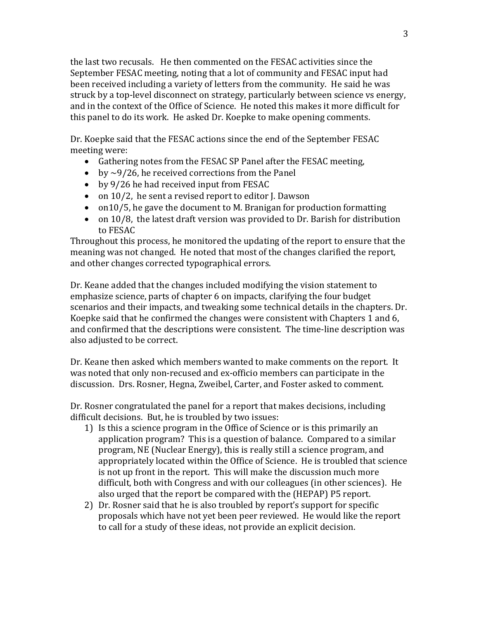the last two recusals. He then commented on the FESAC activities since the September FESAC meeting, noting that a lot of community and FESAC input had been received including a variety of letters from the community. He said he was struck by a top-level disconnect on strategy, particularly between science vs energy, and in the context of the Office of Science. He noted this makes it more difficult for this panel to do its work. He asked Dr. Koepke to make opening comments.

Dr. Koepke said that the FESAC actions since the end of the September FESAC meeting were:

- Gathering notes from the FESAC SP Panel after the FESAC meeting,
- by  $\sim$  9/26, he received corrections from the Panel
- by 9/26 he had received input from FESAC
- on 10/2, he sent a revised report to editor J. Dawson
- on10/5, he gave the document to M. Branigan for production formatting
- on 10/8, the latest draft version was provided to Dr. Barish for distribution to FESAC

Throughout this process, he monitored the updating of the report to ensure that the meaning was not changed. He noted that most of the changes clarified the report, and other changes corrected typographical errors.

Dr. Keane added that the changes included modifying the vision statement to emphasize science, parts of chapter 6 on impacts, clarifying the four budget scenarios and their impacts, and tweaking some technical details in the chapters. Dr. Koepke said that he confirmed the changes were consistent with Chapters 1 and 6, and confirmed that the descriptions were consistent. The time-line description was also adjusted to be correct.

Dr. Keane then asked which members wanted to make comments on the report. It was noted that only non-recused and ex-officio members can participate in the discussion. Drs. Rosner, Hegna, Zweibel, Carter, and Foster asked to comment.

Dr. Rosner congratulated the panel for a report that makes decisions, including difficult decisions. But, he is troubled by two issues:

- 1) Is this a science program in the Office of Science or is this primarily an application program? This is a question of balance. Compared to a similar program, NE (Nuclear Energy), this is really still a science program, and appropriately located within the Office of Science. He is troubled that science is not up front in the report. This will make the discussion much more difficult, both with Congress and with our colleagues (in other sciences). He also urged that the report be compared with the (HEPAP) P5 report.
- 2) Dr. Rosner said that he is also troubled by report's support for specific proposals which have not yet been peer reviewed. He would like the report to call for a study of these ideas, not provide an explicit decision.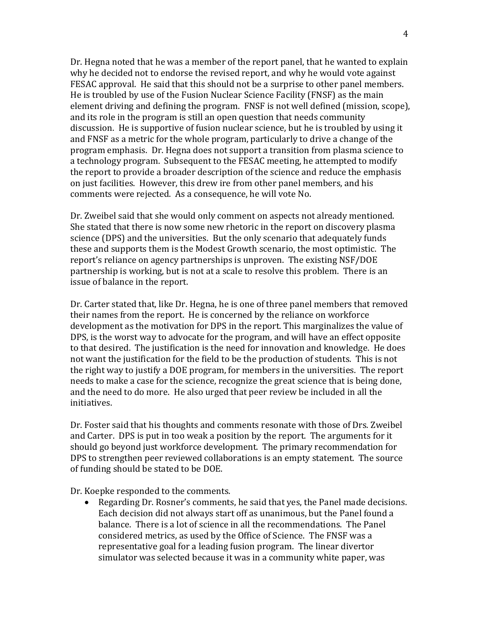Dr. Hegna noted that he was a member of the report panel, that he wanted to explain why he decided not to endorse the revised report, and why he would vote against FESAC approval. He said that this should not be a surprise to other panel members. He is troubled by use of the Fusion Nuclear Science Facility (FNSF) as the main element driving and defining the program. FNSF is not well defined (mission, scope), and its role in the program is still an open question that needs community discussion. He is supportive of fusion nuclear science, but he is troubled by using it and FNSF as a metric for the whole program, particularly to drive a change of the program emphasis. Dr. Hegna does not support a transition from plasma science to a technology program. Subsequent to the FESAC meeting, he attempted to modify the report to provide a broader description of the science and reduce the emphasis on just facilities. However, this drew ire from other panel members, and his comments were rejected. As a consequence, he will vote No.

Dr. Zweibel said that she would only comment on aspects not already mentioned. She stated that there is now some new rhetoric in the report on discovery plasma science (DPS) and the universities. But the only scenario that adequately funds these and supports them is the Modest Growth scenario, the most optimistic. The report's reliance on agency partnerships is unproven. The existing NSF/DOE partnership is working, but is not at a scale to resolve this problem. There is an issue of balance in the report.

Dr. Carter stated that, like Dr. Hegna, he is one of three panel members that removed their names from the report. He is concerned by the reliance on workforce development as the motivation for DPS in the report. This marginalizes the value of DPS, is the worst way to advocate for the program, and will have an effect opposite to that desired. The justification is the need for innovation and knowledge. He does not want the justification for the field to be the production of students. This is not the right way to justify a DOE program, for members in the universities. The report needs to make a case for the science, recognize the great science that is being done, and the need to do more. He also urged that peer review be included in all the initiatives.

Dr. Foster said that his thoughts and comments resonate with those of Drs. Zweibel and Carter. DPS is put in too weak a position by the report. The arguments for it should go beyond just workforce development. The primary recommendation for DPS to strengthen peer reviewed collaborations is an empty statement. The source of funding should be stated to be DOE.

Dr. Koepke responded to the comments.

• Regarding Dr. Rosner's comments, he said that yes, the Panel made decisions. Each decision did not always start off as unanimous, but the Panel found a balance. There is a lot of science in all the recommendations. The Panel considered metrics, as used by the Office of Science. The FNSF was a representative goal for a leading fusion program. The linear divertor simulator was selected because it was in a community white paper, was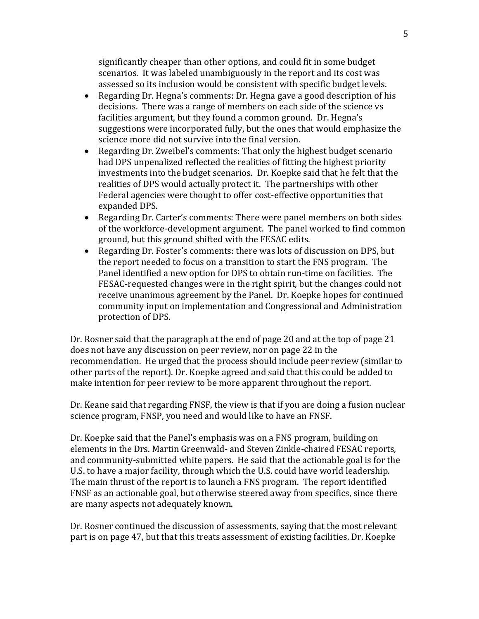significantly cheaper than other options, and could fit in some budget scenarios. It was labeled unambiguously in the report and its cost was assessed so its inclusion would be consistent with specific budget levels.

- Regarding Dr. Hegna's comments: Dr. Hegna gave a good description of his decisions. There was a range of members on each side of the science vs facilities argument, but they found a common ground. Dr. Hegna's suggestions were incorporated fully, but the ones that would emphasize the science more did not survive into the final version.
- Regarding Dr. Zweibel's comments: That only the highest budget scenario had DPS unpenalized reflected the realities of fitting the highest priority investments into the budget scenarios. Dr. Koepke said that he felt that the realities of DPS would actually protect it. The partnerships with other Federal agencies were thought to offer cost-effective opportunities that expanded DPS.
- Regarding Dr. Carter's comments: There were panel members on both sides of the workforce-development argument. The panel worked to find common ground, but this ground shifted with the FESAC edits.
- Regarding Dr. Foster's comments: there was lots of discussion on DPS, but the report needed to focus on a transition to start the FNS program. The Panel identified a new option for DPS to obtain run-time on facilities. The FESAC-requested changes were in the right spirit, but the changes could not receive unanimous agreement by the Panel. Dr. Koepke hopes for continued community input on implementation and Congressional and Administration protection of DPS.

Dr. Rosner said that the paragraph at the end of page 20 and at the top of page 21 does not have any discussion on peer review, nor on page 22 in the recommendation. He urged that the process should include peer review (similar to other parts of the report). Dr. Koepke agreed and said that this could be added to make intention for peer review to be more apparent throughout the report.

Dr. Keane said that regarding FNSF, the view is that if you are doing a fusion nuclear science program, FNSP, you need and would like to have an FNSF.

Dr. Koepke said that the Panel's emphasis was on a FNS program, building on elements in the Drs. Martin Greenwald- and Steven Zinkle-chaired FESAC reports, and community-submitted white papers. He said that the actionable goal is for the U.S. to have a major facility, through which the U.S. could have world leadership. The main thrust of the report is to launch a FNS program. The report identified FNSF as an actionable goal, but otherwise steered away from specifics, since there are many aspects not adequately known.

Dr. Rosner continued the discussion of assessments, saying that the most relevant part is on page 47, but that this treats assessment of existing facilities. Dr. Koepke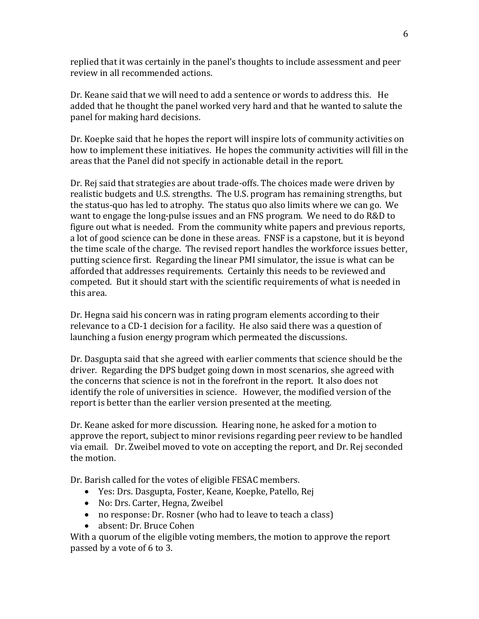replied that it was certainly in the panel's thoughts to include assessment and peer review in all recommended actions.

Dr. Keane said that we will need to add a sentence or words to address this. He added that he thought the panel worked very hard and that he wanted to salute the panel for making hard decisions.

Dr. Koepke said that he hopes the report will inspire lots of community activities on how to implement these initiatives. He hopes the community activities will fill in the areas that the Panel did not specify in actionable detail in the report.

Dr. Rej said that strategies are about trade-offs. The choices made were driven by realistic budgets and U.S. strengths. The U.S. program has remaining strengths, but the status-quo has led to atrophy. The status quo also limits where we can go. We want to engage the long-pulse issues and an FNS program. We need to do R&D to figure out what is needed. From the community white papers and previous reports, a lot of good science can be done in these areas. FNSF is a capstone, but it is beyond the time scale of the charge. The revised report handles the workforce issues better, putting science first. Regarding the linear PMI simulator, the issue is what can be afforded that addresses requirements. Certainly this needs to be reviewed and competed. But it should start with the scientific requirements of what is needed in this area.

Dr. Hegna said his concern was in rating program elements according to their relevance to a CD-1 decision for a facility. He also said there was a question of launching a fusion energy program which permeated the discussions.

Dr. Dasgupta said that she agreed with earlier comments that science should be the driver. Regarding the DPS budget going down in most scenarios, she agreed with the concerns that science is not in the forefront in the report. It also does not identify the role of universities in science. However, the modified version of the report is better than the earlier version presented at the meeting.

Dr. Keane asked for more discussion. Hearing none, he asked for a motion to approve the report, subject to minor revisions regarding peer review to be handled via email. Dr. Zweibel moved to vote on accepting the report, and Dr. Rej seconded the motion.

Dr. Barish called for the votes of eligible FESAC members.

- Yes: Drs. Dasgupta, Foster, Keane, Koepke, Patello, Rej
- No: Drs. Carter, Hegna, Zweibel
- no response: Dr. Rosner (who had to leave to teach a class)
- absent: Dr. Bruce Cohen

With a quorum of the eligible voting members, the motion to approve the report passed by a vote of 6 to 3.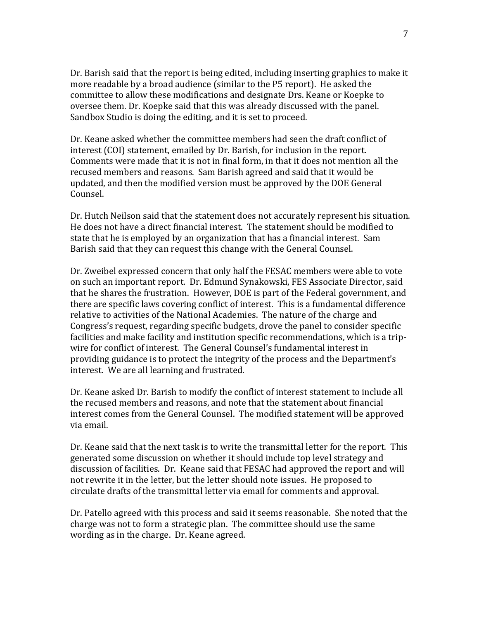Dr. Barish said that the report is being edited, including inserting graphics to make it more readable by a broad audience (similar to the P5 report). He asked the committee to allow these modifications and designate Drs. Keane or Koepke to oversee them. Dr. Koepke said that this was already discussed with the panel. Sandbox Studio is doing the editing, and it is set to proceed.

Dr. Keane asked whether the committee members had seen the draft conflict of interest (COI) statement, emailed by Dr. Barish, for inclusion in the report. Comments were made that it is not in final form, in that it does not mention all the recused members and reasons. Sam Barish agreed and said that it would be updated, and then the modified version must be approved by the DOE General Counsel.

Dr. Hutch Neilson said that the statement does not accurately represent his situation. He does not have a direct financial interest. The statement should be modified to state that he is employed by an organization that has a financial interest. Sam Barish said that they can request this change with the General Counsel.

Dr. Zweibel expressed concern that only half the FESAC members were able to vote on such an important report. Dr. Edmund Synakowski, FES Associate Director, said that he shares the frustration. However, DOE is part of the Federal government, and there are specific laws covering conflict of interest. This is a fundamental difference relative to activities of the National Academies. The nature of the charge and Congress's request, regarding specific budgets, drove the panel to consider specific facilities and make facility and institution specific recommendations, which is a tripwire for conflict of interest. The General Counsel's fundamental interest in providing guidance is to protect the integrity of the process and the Department's interest. We are all learning and frustrated.

Dr. Keane asked Dr. Barish to modify the conflict of interest statement to include all the recused members and reasons, and note that the statement about financial interest comes from the General Counsel. The modified statement will be approved via email.

Dr. Keane said that the next task is to write the transmittal letter for the report. This generated some discussion on whether it should include top level strategy and discussion of facilities. Dr. Keane said that FESAC had approved the report and will not rewrite it in the letter, but the letter should note issues. He proposed to circulate drafts of the transmittal letter via email for comments and approval.

Dr. Patello agreed with this process and said it seems reasonable. She noted that the charge was not to form a strategic plan. The committee should use the same wording as in the charge. Dr. Keane agreed.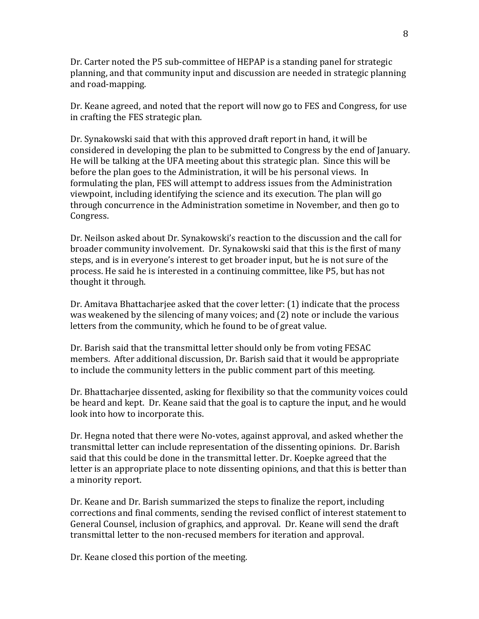Dr. Carter noted the P5 sub-committee of HEPAP is a standing panel for strategic planning, and that community input and discussion are needed in strategic planning and road-mapping.

Dr. Keane agreed, and noted that the report will now go to FES and Congress, for use in crafting the FES strategic plan.

Dr. Synakowski said that with this approved draft report in hand, it will be considered in developing the plan to be submitted to Congress by the end of January. He will be talking at the UFA meeting about this strategic plan. Since this will be before the plan goes to the Administration, it will be his personal views. In formulating the plan, FES will attempt to address issues from the Administration viewpoint, including identifying the science and its execution. The plan will go through concurrence in the Administration sometime in November, and then go to Congress.

Dr. Neilson asked about Dr. Synakowski's reaction to the discussion and the call for broader community involvement. Dr. Synakowski said that this is the first of many steps, and is in everyone's interest to get broader input, but he is not sure of the process. He said he is interested in a continuing committee, like P5, but has not thought it through.

Dr. Amitava Bhattacharjee asked that the cover letter: (1) indicate that the process was weakened by the silencing of many voices; and (2) note or include the various letters from the community, which he found to be of great value.

Dr. Barish said that the transmittal letter should only be from voting FESAC members. After additional discussion, Dr. Barish said that it would be appropriate to include the community letters in the public comment part of this meeting.

Dr. Bhattacharjee dissented, asking for flexibility so that the community voices could be heard and kept. Dr. Keane said that the goal is to capture the input, and he would look into how to incorporate this.

Dr. Hegna noted that there were No-votes, against approval, and asked whether the transmittal letter can include representation of the dissenting opinions. Dr. Barish said that this could be done in the transmittal letter. Dr. Koepke agreed that the letter is an appropriate place to note dissenting opinions, and that this is better than a minority report.

Dr. Keane and Dr. Barish summarized the steps to finalize the report, including corrections and final comments, sending the revised conflict of interest statement to General Counsel, inclusion of graphics, and approval. Dr. Keane will send the draft transmittal letter to the non-recused members for iteration and approval.

Dr. Keane closed this portion of the meeting.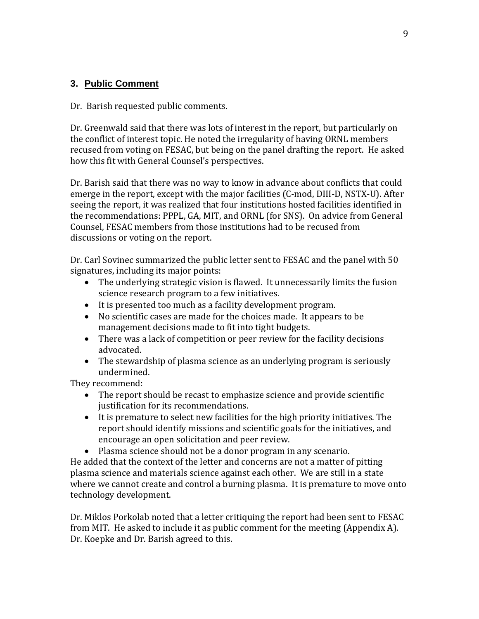# **3. Public Comment**

Dr. Barish requested public comments.

Dr. Greenwald said that there was lots of interest in the report, but particularly on the conflict of interest topic. He noted the irregularity of having ORNL members recused from voting on FESAC, but being on the panel drafting the report. He asked how this fit with General Counsel's perspectives.

Dr. Barish said that there was no way to know in advance about conflicts that could emerge in the report, except with the major facilities (C-mod, DIII-D, NSTX-U). After seeing the report, it was realized that four institutions hosted facilities identified in the recommendations: PPPL, GA, MIT, and ORNL (for SNS). On advice from General Counsel, FESAC members from those institutions had to be recused from discussions or voting on the report.

Dr. Carl Sovinec summarized the public letter sent to FESAC and the panel with 50 signatures, including its major points:

- The underlying strategic vision is flawed. It unnecessarily limits the fusion science research program to a few initiatives.
- It is presented too much as a facility development program.
- No scientific cases are made for the choices made. It appears to be management decisions made to fit into tight budgets.
- There was a lack of competition or peer review for the facility decisions advocated.
- The stewardship of plasma science as an underlying program is seriously undermined.

They recommend:

- The report should be recast to emphasize science and provide scientific justification for its recommendations.
- It is premature to select new facilities for the high priority initiatives. The report should identify missions and scientific goals for the initiatives, and encourage an open solicitation and peer review.
- Plasma science should not be a donor program in any scenario.

He added that the context of the letter and concerns are not a matter of pitting plasma science and materials science against each other. We are still in a state where we cannot create and control a burning plasma. It is premature to move onto technology development.

Dr. Miklos Porkolab noted that a letter critiquing the report had been sent to FESAC from MIT. He asked to include it as public comment for the meeting (Appendix A). Dr. Koepke and Dr. Barish agreed to this.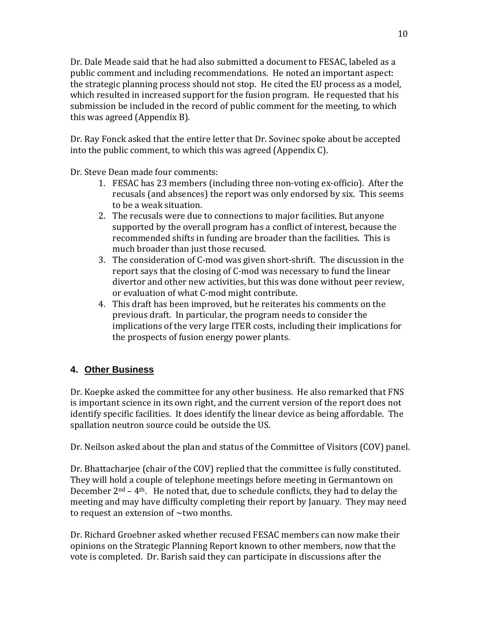Dr. Dale Meade said that he had also submitted a document to FESAC, labeled as a public comment and including recommendations. He noted an important aspect: the strategic planning process should not stop. He cited the EU process as a model, which resulted in increased support for the fusion program. He requested that his submission be included in the record of public comment for the meeting, to which this was agreed (Appendix B).

Dr. Ray Fonck asked that the entire letter that Dr. Sovinec spoke about be accepted into the public comment, to which this was agreed (Appendix C).

Dr. Steve Dean made four comments:

- 1. FESAC has 23 members (including three non-voting ex-officio). After the recusals (and absences) the report was only endorsed by six. This seems to be a weak situation.
- 2. The recusals were due to connections to major facilities. But anyone supported by the overall program has a conflict of interest, because the recommended shifts in funding are broader than the facilities. This is much broader than just those recused.
- 3. The consideration of C-mod was given short-shrift. The discussion in the report says that the closing of C-mod was necessary to fund the linear divertor and other new activities, but this was done without peer review, or evaluation of what C-mod might contribute.
- 4. This draft has been improved, but he reiterates his comments on the previous draft. In particular, the program needs to consider the implications of the very large ITER costs, including their implications for the prospects of fusion energy power plants.

# **4. Other Business**

Dr. Koepke asked the committee for any other business. He also remarked that FNS is important science in its own right, and the current version of the report does not identify specific facilities. It does identify the linear device as being affordable. The spallation neutron source could be outside the US.

Dr. Neilson asked about the plan and status of the Committee of Visitors (COV) panel.

Dr. Bhattacharjee (chair of the COV) replied that the committee is fully constituted. They will hold a couple of telephone meetings before meeting in Germantown on December 2nd – 4th. He noted that, due to schedule conflicts, they had to delay the meeting and may have difficulty completing their report by January. They may need to request an extension of  $\sim$ two months.

Dr. Richard Groebner asked whether recused FESAC members can now make their opinions on the Strategic Planning Report known to other members, now that the vote is completed. Dr. Barish said they can participate in discussions after the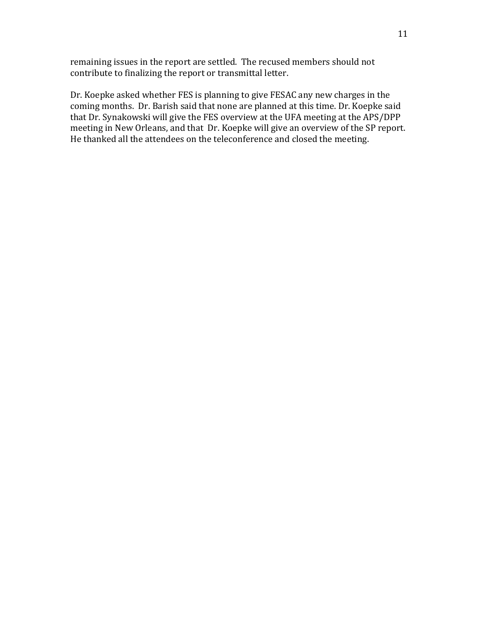remaining issues in the report are settled. The recused members should not contribute to finalizing the report or transmittal letter.

Dr. Koepke asked whether FES is planning to give FESAC any new charges in the coming months. Dr. Barish said that none are planned at this time. Dr. Koepke said that Dr. Synakowski will give the FES overview at the UFA meeting at the APS/DPP meeting in New Orleans, and that Dr. Koepke will give an overview of the SP report. He thanked all the attendees on the teleconference and closed the meeting.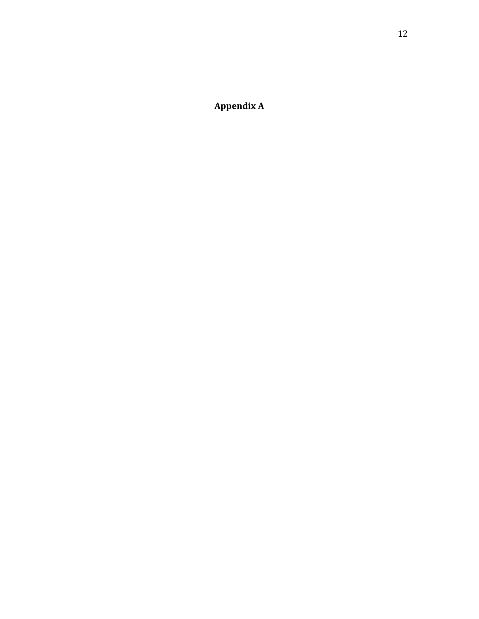**Appendix A**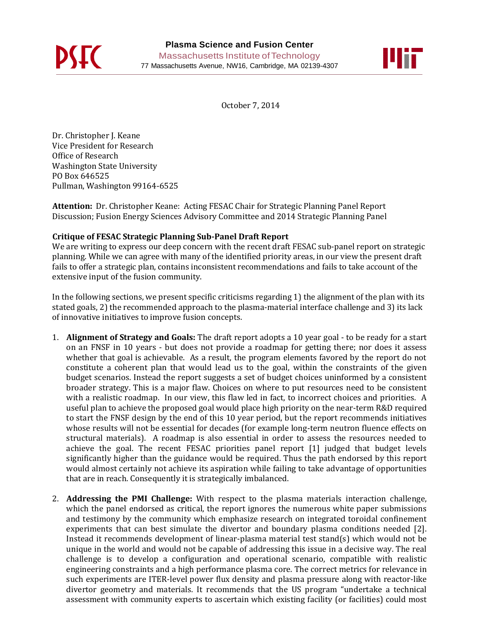



October 7, 2014

Dr. Christopher J. Keane Vice President for Research Office of Research Washington State University PO Box 646525 Pullman, Washington 99164-6525

**Attention:** Dr. Christopher Keane: Acting FESAC Chair for Strategic Planning Panel Report Discussion; Fusion Energy Sciences Advisory Committee and 2014 Strategic Planning Panel

### **Critique of FESAC Strategic Planning Sub-Panel Draft Report**

We are writing to express our deep concern with the recent draft FESAC sub-panel report on strategic planning. While we can agree with many of the identified priority areas, in our view the present draft fails to offer a strategic plan, contains inconsistent recommendations and fails to take account of the extensive input of the fusion community.

In the following sections, we present specific criticisms regarding 1) the alignment of the plan with its stated goals, 2) the recommended approach to the plasma-material interface challenge and 3) its lack of innovative initiatives to improve fusion concepts.

- 1. **Alignment of Strategy and Goals:** The draft report adopts a 10 year goal to be ready for a start on an FNSF in 10 years - but does not provide a roadmap for getting there; nor does it assess whether that goal is achievable. As a result, the program elements favored by the report do not constitute a coherent plan that would lead us to the goal, within the constraints of the given budget scenarios. Instead the report suggests a set of budget choices uninformed by a consistent broader strategy. This is a major flaw. Choices on where to put resources need to be consistent with a realistic roadmap. In our view, this flaw led in fact, to incorrect choices and priorities. A useful plan to achieve the proposed goal would place high priority on the near-term R&D required to start the FNSF design by the end of this 10 year period, but the report recommends initiatives whose results will not be essential for decades (for example long-term neutron fluence effects on structural materials). A roadmap is also essential in order to assess the resources needed to achieve the goal. The recent FESAC priorities panel report [1] judged that budget levels significantly higher than the guidance would be required. Thus the path endorsed by this report would almost certainly not achieve its aspiration while failing to take advantage of opportunities that are in reach. Consequently it is strategically imbalanced.
- 2. **Addressing the PMI Challenge:** With respect to the plasma materials interaction challenge, which the panel endorsed as critical, the report ignores the numerous white paper submissions and testimony by the community which emphasize research on integrated toroidal confinement experiments that can best simulate the divertor and boundary plasma conditions needed [2]. Instead it recommends development of linear-plasma material test stand(s) which would not be unique in the world and would not be capable of addressing this issue in a decisive way. The real challenge is to develop a configuration and operational scenario, compatible with realistic engineering constraints and a high performance plasma core. The correct metrics for relevance in such experiments are ITER-level power flux density and plasma pressure along with reactor-like divertor geometry and materials. It recommends that the US program "undertake a technical assessment with community experts to ascertain which existing facility (or facilities) could most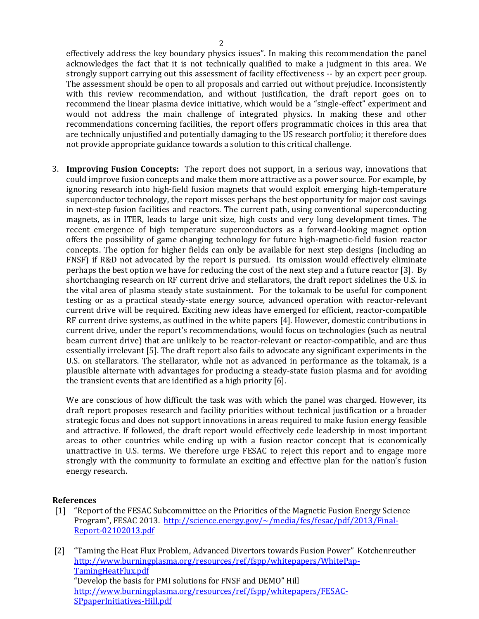effectively address the key boundary physics issues". In making this recommendation the panel acknowledges the fact that it is not technically qualified to make a judgment in this area. We strongly support carrying out this assessment of facility effectiveness -- by an expert peer group. The assessment should be open to all proposals and carried out without prejudice. Inconsistently with this review recommendation, and without justification, the draft report goes on to recommend the linear plasma device initiative, which would be a "single-effect" experiment and would not address the main challenge of integrated physics. In making these and other recommendations concerning facilities, the report offers programmatic choices in this area that are technically unjustified and potentially damaging to the US research portfolio; it therefore does not provide appropriate guidance towards a solution to this critical challenge.

3. **Improving Fusion Concepts:** The report does not support, in a serious way, innovations that could improve fusion concepts and make them more attractive as a power source. For example, by ignoring research into high-field fusion magnets that would exploit emerging high-temperature superconductor technology, the report misses perhaps the best opportunity for major cost savings in next-step fusion facilities and reactors. The current path, using conventional superconducting magnets, as in ITER, leads to large unit size, high costs and very long development times. The recent emergence of high temperature superconductors as a forward-looking magnet option offers the possibility of game changing technology for future high-magnetic-field fusion reactor concepts. The option for higher fields can only be available for next step designs (including an FNSF) if R&D not advocated by the report is pursued. Its omission would effectively eliminate perhaps the best option we have for reducing the cost of the next step and a future reactor [3]. By shortchanging research on RF current drive and stellarators, the draft report sidelines the U.S. in the vital area of plasma steady state sustainment. For the tokamak to be useful for component testing or as a practical steady-state energy source, advanced operation with reactor-relevant current drive will be required. Exciting new ideas have emerged for efficient, reactor-compatible RF current drive systems, as outlined in the white papers [4]. However, domestic contributions in current drive, under the report's recommendations, would focus on technologies (such as neutral beam current drive) that are unlikely to be reactor-relevant or reactor-compatible, and are thus essentially irrelevant [5]. The draft report also fails to advocate any significant experiments in the U.S. on stellarators. The stellarator, while not as advanced in performance as the tokamak, is a plausible alternate with advantages for producing a steady-state fusion plasma and for avoiding the transient events that are identified as a high priority [6].

We are conscious of how difficult the task was with which the panel was charged. However, its draft report proposes research and facility priorities without technical justification or a broader strategic focus and does not support innovations in areas required to make fusion energy feasible and attractive. If followed, the draft report would effectively cede leadership in most important areas to other countries while ending up with a fusion reactor concept that is economically unattractive in U.S. terms. We therefore urge FESAC to reject this report and to engage more strongly with the community to formulate an exciting and effective plan for the nation's fusion energy research.

#### **References**

- [1] "Report of the FESAC Subcommittee on the Priorities of the Magnetic Fusion Energy Science Program", FESAC 2013. [http://science.energy.gov/~/media/fes/fesac/pdf/2013/Final-](http://science.energy.gov/~/media/fes/fesac/pdf/2013/Final-Report-02102013.pdf)[Report-02102013.pdf](http://science.energy.gov/~/media/fes/fesac/pdf/2013/Final-Report-02102013.pdf)
- [2] "Taming the Heat Flux Problem, Advanced Divertors towards Fusion Power" Kotchenreuther [http://www.burningplasma.org/resources/ref/fspp/whitepapers/WhitePap-](http://www.burningplasma.org/resources/ref/fspp/whitepapers/WhitePap-TamingHeatFlux.pdf)[TamingHeatFlux.pdf](http://www.burningplasma.org/resources/ref/fspp/whitepapers/WhitePap-TamingHeatFlux.pdf)  "Develop the basis for PMI solutions for FNSF and DEMO" Hill [http://www.burningplasma.org/resources/ref/fspp/whitepapers/FESAC-](http://www.burningplasma.org/resources/ref/fspp/whitepapers/FESAC-SPpaperInitiatives-Hill.pdf)[SPpaperInitiatives-Hill.pdf](http://www.burningplasma.org/resources/ref/fspp/whitepapers/FESAC-SPpaperInitiatives-Hill.pdf)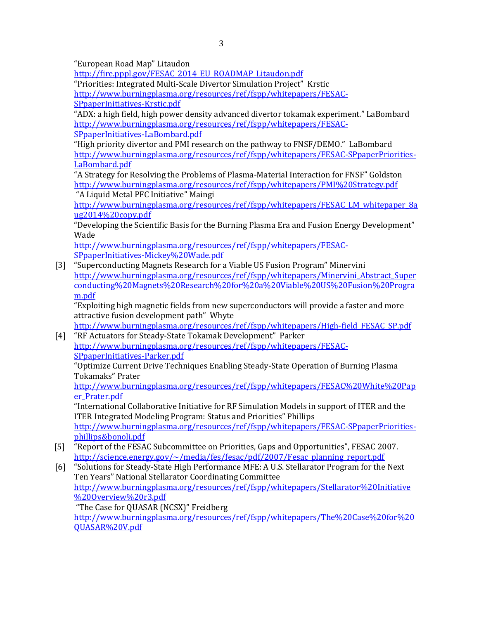"European Road Map" Litaudon

[http://fire.pppl.gov/FESAC\\_2014\\_EU\\_ROADMAP\\_Litaudon.pdf](http://fire.pppl.gov/FESAC_2014_EU_ROADMAP_Litaudon.pdf)

"Priorities: Integrated Multi-Scale Divertor Simulation Project" Krstic [http://www.burningplasma.org/resources/ref/fspp/whitepapers/FESAC-](http://www.burningplasma.org/resources/ref/fspp/whitepapers/FESAC-SPpaperInitiatives-Krstic.pdf)

[SPpaperInitiatives-Krstic.pdf](http://www.burningplasma.org/resources/ref/fspp/whitepapers/FESAC-SPpaperInitiatives-Krstic.pdf) 

"ADX: a high field, high power density advanced divertor tokamak experiment." LaBombard [http://www.burningplasma.org/resources/ref/fspp/whitepapers/FESAC-](http://www.burningplasma.org/resources/ref/fspp/whitepapers/FESAC-SPpaperInitiatives-LaBombard.pdf)[SPpaperInitiatives-LaBombard.pdf](http://www.burningplasma.org/resources/ref/fspp/whitepapers/FESAC-SPpaperInitiatives-LaBombard.pdf)

"High priority divertor and PMI research on the pathway to FNSF/DEMO." LaBombard [http://www.burningplasma.org/resources/ref/fspp/whitepapers/FESAC-SPpaperPriorities-](http://www.burningplasma.org/resources/ref/fspp/whitepapers/FESAC-SPpaperPriorities-LaBombard.pdf)[LaBombard.pdf](http://www.burningplasma.org/resources/ref/fspp/whitepapers/FESAC-SPpaperPriorities-LaBombard.pdf) 

"A Strategy for Resolving the Problems of Plasma-Material Interaction for FNSF" Goldston <http://www.burningplasma.org/resources/ref/fspp/whitepapers/PMI%20Strategy.pdf> "A Liquid Metal PFC Initiative" Maingi

[http://www.burningplasma.org/resources/ref/fspp/whitepapers/FESAC\\_LM\\_whitepaper\\_8a](http://www.burningplasma.org/resources/ref/fspp/whitepapers/FESAC_LM_whitepaper_8aug2014%20copy.pdf) [ug2014%20copy.pdf](http://www.burningplasma.org/resources/ref/fspp/whitepapers/FESAC_LM_whitepaper_8aug2014%20copy.pdf)

"Developing the Scientific Basis for the Burning Plasma Era and Fusion Energy Development" Wade

http://www.burningplasma.org/resources/ref/fspp/whitepapers/FESAC-SPpaperInitiatives-Mickey%20Wade.pdf

[3] "Superconducting Magnets Research for a Viable US Fusion Program" Minervini [http://www.burningplasma.org/resources/ref/fspp/whitepapers/Minervini\\_Abstract\\_Super](http://www.burningplasma.org/resources/ref/fspp/whitepapers/Minervini_Abstract_Superconducting%20Magnets%20Research%20for%20a%20Viable%20US%20Fusion%20Program.pdf) [conducting%20Magnets%20Research%20for%20a%20Viable%20US%20Fusion%20Progra](http://www.burningplasma.org/resources/ref/fspp/whitepapers/Minervini_Abstract_Superconducting%20Magnets%20Research%20for%20a%20Viable%20US%20Fusion%20Program.pdf) [m.pdf](http://www.burningplasma.org/resources/ref/fspp/whitepapers/Minervini_Abstract_Superconducting%20Magnets%20Research%20for%20a%20Viable%20US%20Fusion%20Program.pdf)

"Exploiting high magnetic fields from new superconductors will provide a faster and more attractive fusion development path" Whyte

[http://www.burningplasma.org/resources/ref/fspp/whitepapers/High-field\\_FESAC\\_SP.pdf](http://www.burningplasma.org/resources/ref/fspp/whitepapers/High-field_FESAC_SP.pdf)

[4] "RF Actuators for Steady-State Tokamak Development" Parker [http://www.burningplasma.org/resources/ref/fspp/whitepapers/FESAC-](http://www.burningplasma.org/resources/ref/fspp/whitepapers/FESAC-SPpaperInitiatives-Parker.pdf)[SPpaperInitiatives-Parker.pdf](http://www.burningplasma.org/resources/ref/fspp/whitepapers/FESAC-SPpaperInitiatives-Parker.pdf) 

"Optimize Current Drive Techniques Enabling Steady-State Operation of Burning Plasma Tokamaks" Prater

[http://www.burningplasma.org/resources/ref/fspp/whitepapers/FESAC%20White%20Pap](http://www.burningplasma.org/resources/ref/fspp/whitepapers/FESAC%20White%20Paper_Prater.pdf) [er\\_Prater.pdf](http://www.burningplasma.org/resources/ref/fspp/whitepapers/FESAC%20White%20Paper_Prater.pdf)

"International Collaborative Initiative for RF Simulation Models in support of ITER and the ITER Integrated Modeling Program: Status and Priorities" Phillips

[http://www.burningplasma.org/resources/ref/fspp/whitepapers/FESAC-SPpaperPriorities](http://www.burningplasma.org/resources/ref/fspp/whitepapers/FESAC-SPpaperPriorities-phillips&bonoli.pdf)[phillips&bonoli.pdf](http://www.burningplasma.org/resources/ref/fspp/whitepapers/FESAC-SPpaperPriorities-phillips&bonoli.pdf)

- [5] "Report of the FESAC Subcommittee on Priorities, Gaps and Opportunities", FESAC 2007. [http://science.energy.gov/~/media/fes/fesac/pdf/2007/Fesac\\_planning\\_report.pdf](http://science.energy.gov/~/media/fes/fesac/pdf/2007/Fesac_planning_report.pdf)
- [6] "Solutions for Steady-State High Performance MFE: A U.S. Stellarator Program for the Next Ten Years" National Stellarator Coordinating Committee [http://www.burningplasma.org/resources/ref/fspp/whitepapers/Stellarator%20Initiative](http://www.burningplasma.org/resources/ref/fspp/whitepapers/Stellarator%20Initiative%20Overview%20r3.pdf) [%20Overview%20r3.pdf](http://www.burningplasma.org/resources/ref/fspp/whitepapers/Stellarator%20Initiative%20Overview%20r3.pdf)  "The Case for QUASAR (NCSX)" Freidberg

[http://www.burningplasma.org/resources/ref/fspp/whitepapers/The%20Case%20for%20](http://www.burningplasma.org/resources/ref/fspp/whitepapers/The%20Case%20for%20QUASAR%20V.pdf) [QUASAR%20V.pdf](http://www.burningplasma.org/resources/ref/fspp/whitepapers/The%20Case%20for%20QUASAR%20V.pdf)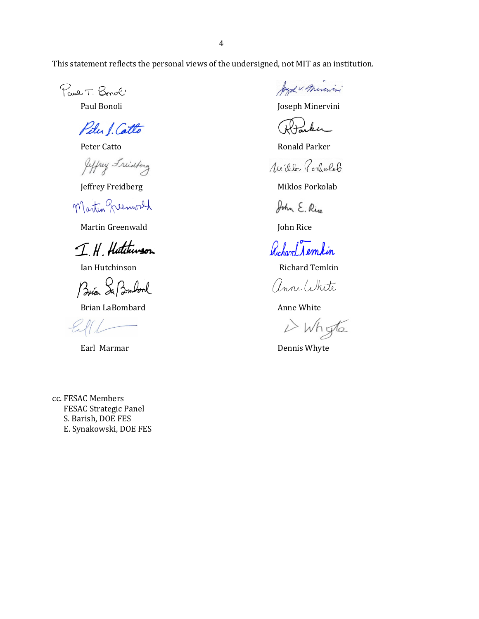This statement reflects the personal views of the undersigned, not MIT as an institution.

Paul T. Bonol'

Pitu J. Catto

Jeffrey Friedring

Martin Quemoral

Martin Greenwald **John Rice** 

IH Hutchinson

Brian Sa Bombonl

Brian LaBombard **Anne White** Anne White

Joyd v. Mircini

Paul Bonoli **Disk and School** Joseph Minervini

Rtarker

Peter Catto **Ronald Parker** 

Willes Portolol

Jeffrey Freidberg Miklos Porkolab

John E. Rin

Richard Nemkin

Ian Hutchinson **Richard Temkin** 

anne White

i Whyte

Earl Marmar **Dennis Whyte** 

cc. FESAC Members FESAC Strategic Panel S. Barish, DOE FES E. Synakowski, DOE FES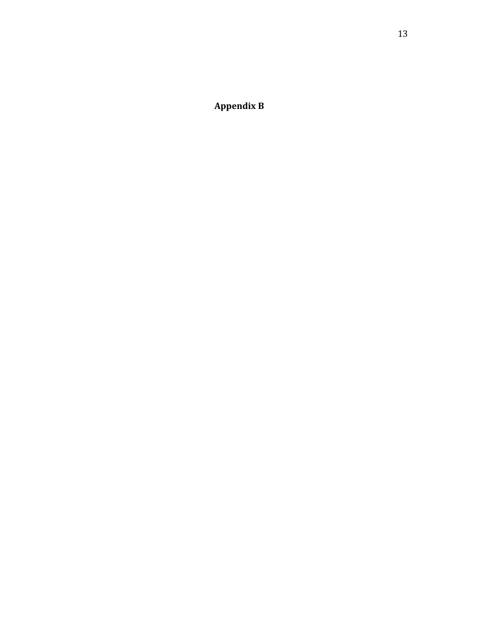**Appendix B**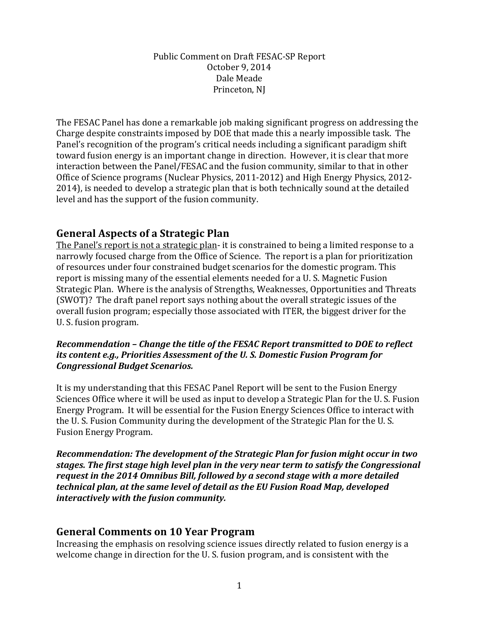### Public Comment on Draft FESAC-SP Report October 9, 2014 Dale Meade Princeton, NJ

The FESAC Panel has done a remarkable job making significant progress on addressing the Charge despite constraints imposed by DOE that made this a nearly impossible task. The Panel's recognition of the program's critical needs including a significant paradigm shift toward fusion energy is an important change in direction. However, it is clear that more interaction between the Panel/FESAC and the fusion community, similar to that in other Office of Science programs (Nuclear Physics, 2011-2012) and High Energy Physics, 2012-2014), is needed to develop a strategic plan that is both technically sound at the detailed level and has the support of the fusion community.

# **General Aspects of a Strategic Plan**

The Panel's report is not a strategic plan- it is constrained to being a limited response to a narrowly focused charge from the Office of Science. The report is a plan for prioritization of resources under four constrained budget scenarios for the domestic program. This report is missing many of the essential elements needed for a U. S. Magnetic Fusion Strategic Plan. Where is the analysis of Strengths, Weaknesses, Opportunities and Threats (SWOT)? The draft panel report says nothing about the overall strategic issues of the overall fusion program; especially those associated with ITER, the biggest driver for the U. S. fusion program.

## *Recommendation - Change the title of the FESAC Report transmitted to DOE to reflect its content e.g., Priorities Assessment of the U.S. Domestic Fusion Program for Congressional+Budget+Scenarios.*

It is my understanding that this FESAC Panel Report will be sent to the Fusion Energy Sciences Office where it will be used as input to develop a Strategic Plan for the U. S. Fusion Energy Program. It will be essential for the Fusion Energy Sciences Office to interact with the U. S. Fusion Community during the development of the Strategic Plan for the U. S. Fusion Energy Program.

*Recommendation: The development of the Strategic Plan for fusion might occur in two stages.+The+first+stage+high+level+plan+in+the+very+near+term+to+satisfy+the+Congressional+ request in the 2014 Omnibus Bill, followed by a second stage with a more detailed technical+plan,+at+the+same+level+of+detail as+the+EU+Fusion+Road+Map,+developed+ interactively with the fusion community.* 

# **General'Comments'on'10'Year'Program**

Increasing the emphasis on resolving science issues directly related to fusion energy is a welcome change in direction for the U. S. fusion program, and is consistent with the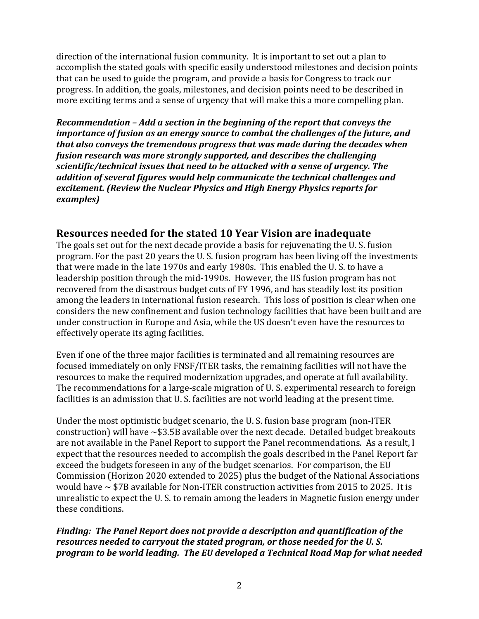direction of the international fusion community. It is important to set out a plan to accomplish the stated goals with specific easily understood milestones and decision points that can be used to guide the program, and provide a basis for Congress to track our progress. In addition, the goals, milestones, and decision points need to be described in more exciting terms and a sense of urgency that will make this a more compelling plan.

*Recommendation - Add a section in the beginning of the report that conveys the importance of fusion as an energy source to combat the challenges of the future, and that also conveys the tremendous progress that was made during the decades when fusion+research+was+more+strongly+supported,+and+describes+the+challenging+ scientific/technical issues that need to be attacked with a sense of urgency. The addition+of+several+figures+would+help+communicate+the+technical+challenges+and+ excitement. (Review the Nuclear Physics and High Energy Physics reports for examples)*

# **Resources'needed'for'the'stated'10'Year'Vision'are'inadequate**

The goals set out for the next decade provide a basis for rejuvenating the U. S. fusion program. For the past 20 years the U. S. fusion program has been living off the investments that were made in the late 1970s and early 1980s. This enabled the U.S. to have a leadership position through the mid-1990s. However, the US fusion program has not recovered from the disastrous budget cuts of FY 1996, and has steadily lost its position among the leaders in international fusion research. This loss of position is clear when one considers the new confinement and fusion technology facilities that have been built and are under construction in Europe and Asia, while the US doesn't even have the resources to effectively operate its aging facilities.

Even if one of the three major facilities is terminated and all remaining resources are focused immediately on only FNSF/ITER tasks, the remaining facilities will not have the resources to make the required modernization upgrades, and operate at full availability. The recommendations for a large-scale migration of U. S. experimental research to foreign facilities is an admission that U. S. facilities are not world leading at the present time.

Under the most optimistic budget scenario, the U. S. fusion base program (non-ITER construction) will have  $\sim$ \$3.5B available over the next decade. Detailed budget breakouts are not available in the Panel Report to support the Panel recommendations. As a result, I expect that the resources needed to accomplish the goals described in the Panel Report far exceed the budgets foreseen in any of the budget scenarios. For comparison, the EU Commission (Horizon 2020 extended to 2025) plus the budget of the National Associations would have  $\sim$  \$7B available for Non-ITER construction activities from 2015 to 2025. It is unrealistic to expect the U. S. to remain among the leaders in Magnetic fusion energy under these conditions.

*Finding: The Panel Report does not provide a description and quantification of the resources needed to carryout the stated program, or those needed for the U.S. program to be world leading. The EU developed a Technical Road Map for what needed*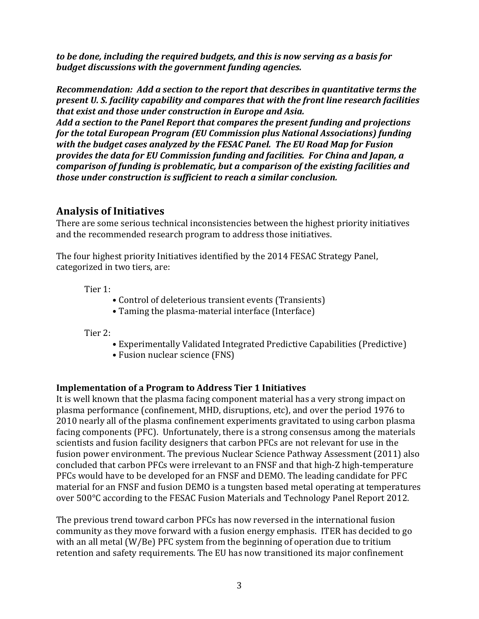*to be done, including the required budgets, and this is now serving as a basis for budget+discussions+with+the+government+funding+agencies.*

*Recommendation: Add a section to the report that describes in quantitative terms the present U. S. facility capability and compares that with the front line research facilities that exist and those under construction in Europe and Asia.* 

Add a section to the Panel Report that compares the present funding and projections *for the total European Program (EU Commission plus National Associations) funding with the budget cases analyzed by the FESAC Panel. The EU Road Map for Fusion provides the data for EU Commission funding and facilities. For China and Japan, a comparison of funding is problematic, but a comparison of the existing facilities and those under construction is sufficient to reach a similar conclusion.* 

# **Analysis'of'Initiatives**

There are some serious technical inconsistencies between the highest priority initiatives and the recommended research program to address those initiatives.

The four highest priority Initiatives identified by the 2014 FESAC Strategy Panel, categorized in two tiers, are:

Tier 1:

- Control of deleterious transient events (Transients)
- Taming the plasma-material interface (Interface)

Tier  $2:$ 

- Experimentally Validated Integrated Predictive Capabilities (Predictive)
- Fusion nuclear science (FNS)

# **Implementation'of'a'Program'to'Address'Tier'1'Initiatives**

It is well known that the plasma facing component material has a very strong impact on plasma performance (confinement, MHD, disruptions, etc), and over the period 1976 to 2010 nearly all of the plasma confinement experiments gravitated to using carbon plasma facing components (PFC). Unfortunately, there is a strong consensus among the materials scientists and fusion facility designers that carbon PFCs are not relevant for use in the fusion power environment. The previous Nuclear Science Pathway Assessment (2011) also concluded that carbon PFCs were irrelevant to an FNSF and that high-Z high-temperature PFCs would have to be developed for an FNSF and DEMO. The leading candidate for PFC material for an FNSF and fusion DEMO is a tungsten based metal operating at temperatures over 500°C according to the FESAC Fusion Materials and Technology Panel Report 2012.

The previous trend toward carbon PFCs has now reversed in the international fusion community as they move forward with a fusion energy emphasis. ITER has decided to go with an all metal (W/Be) PFC system from the beginning of operation due to tritium retention and safety requirements. The EU has now transitioned its major confinement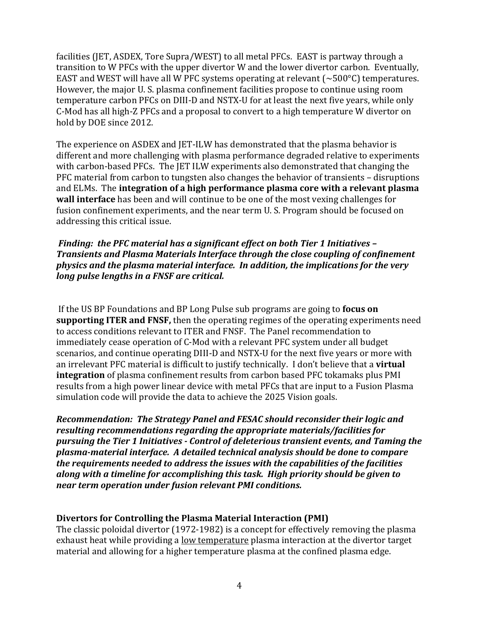facilities (JET, ASDEX, Tore Supra/WEST) to all metal PFCs. EAST is partway through a transition to W PFCs with the upper divertor W and the lower divertor carbon. Eventually, EAST and WEST will have all W PFC systems operating at relevant ( $\sim$ 500°C) temperatures. However, the major U. S. plasma confinement facilities propose to continue using room temperature carbon PFCs on DIII-D and NSTX-U for at least the next five years, while only C-Mod has all high-Z PFCs and a proposal to convert to a high temperature W divertor on hold by DOE since 2012.

The experience on ASDEX and JET-ILW has demonstrated that the plasma behavior is different and more challenging with plasma performance degraded relative to experiments with carbon-based PFCs. The JET ILW experiments also demonstrated that changing the PFC material from carbon to tungsten also changes the behavior of transients – disruptions and ELMs. The **integration of a high performance plasma core with a relevant plasma wall interface** has been and will continue to be one of the most vexing challenges for fusion confinement experiments, and the near term U. S. Program should be focused on addressing this critical issue.

*Finding: the PFC material has a significant effect on both Tier 1 Initiatives – Transients+and+Plasma+Materials+Interface+through+the+close+coupling+of+confinement+ physics and the plasma material interface. In addition, the implications for the very long pulse lengths in a FNSF are critical.* 

If the US BP Foundations and BP Long Pulse sub programs are going to **focus on supporting ITER and FNSF,** then the operating regimes of the operating experiments need to access conditions relevant to ITER and FNSF. The Panel recommendation to immediately cease operation of C-Mod with a relevant PFC system under all budget scenarios, and continue operating DIII-D and NSTX-U for the next five years or more with an irrelevant PFC material is difficult to justify technically. I don't believe that a **virtual integration** of plasma confinement results from carbon based PFC tokamaks plus PMI results from a high power linear device with metal PFCs that are input to a Fusion Plasma simulation code will provide the data to achieve the 2025 Vision goals.

*Recommendation: The Strategy Panel and FESAC should reconsider their logic and resulting recommendations regarding the appropriate materials/facilities for pursuing the Tier 1 Initiatives*  $\cdot$  *Control of deleterious transient events, and Taming the* plasma-material interface. A detailed technical analysis should be done to compare *the requirements needed to address the issues with the capabilities of the facilities along with a timeline for accomplishing this task. High priority should be given to near term operation under fusion relevant PMI conditions.* 

### **Divertors'for'Controlling'the'Plasma'Material'Interaction'(PMI)**

The classic poloidal divertor (1972-1982) is a concept for effectively removing the plasma exhaust heat while providing a <u>low temperature</u> plasma interaction at the divertor target material and allowing for a higher temperature plasma at the confined plasma edge.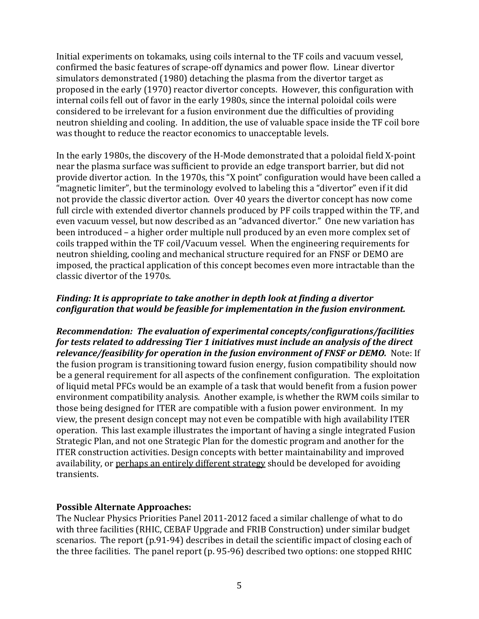Initial experiments on tokamaks, using coils internal to the TF coils and vacuum vessel, confirmed the basic features of scrape-off dynamics and power flow. Linear divertor simulators demonstrated (1980) detaching the plasma from the divertor target as proposed in the early (1970) reactor divertor concepts. However, this configuration with internal coils fell out of favor in the early 1980s, since the internal poloidal coils were considered to be irrelevant for a fusion environment due the difficulties of providing neutron shielding and cooling. In addition, the use of valuable space inside the TF coil bore was thought to reduce the reactor economics to unacceptable levels.

In the early 1980s, the discovery of the H-Mode demonstrated that a poloidal field X-point near the plasma surface was sufficient to provide an edge transport barrier, but did not provide divertor action. In the 1970s, this "X point" configuration would have been called a "magnetic limiter", but the terminology evolved to labeling this a "divertor" even if it did not provide the classic divertor action. Over 40 years the divertor concept has now come full circle with extended divertor channels produced by PF coils trapped within the TF, and even vacuum vessel, but now described as an "advanced divertor." One new variation has been introduced – a higher order multiple null produced by an even more complex set of coils trapped within the TF coil/Vacuum vessel. When the engineering requirements for neutron shielding, cooling and mechanical structure required for an FNSF or DEMO are imposed, the practical application of this concept becomes even more intractable than the classic divertor of the 1970s.

# *Finding: It is appropriate to take another in depth look at finding a divertor configuration that would be feasible for implementation in the fusion environment.*

*Recommendation: The evaluation of experimental concepts/configurations/facilities for tests related to addressing Tier 1 initiatives must include an analysis of the direct relevance/feasibility for operation in the fusion environment of FNSF or DEMO.* Note: If the fusion program is transitioning toward fusion energy, fusion compatibility should now be a general requirement for all aspects of the confinement configuration. The exploitation of liquid metal PFCs would be an example of a task that would benefit from a fusion power environment compatibility analysis. Another example, is whether the RWM coils similar to those being designed for ITER are compatible with a fusion power environment. In my view, the present design concept may not even be compatible with high availability ITER operation. This last example illustrates the important of having a single integrated Fusion Strategic Plan, and not one Strategic Plan for the domestic program and another for the ITER construction activities. Design concepts with better maintainability and improved availability, or perhaps an entirely different strategy should be developed for avoiding transients.

### Possible Alternate Approaches:

The Nuclear Physics Priorities Panel 2011-2012 faced a similar challenge of what to do with three facilities (RHIC, CEBAF Upgrade and FRIB Construction) under similar budget scenarios. The report (p.91-94) describes in detail the scientific impact of closing each of the three facilities. The panel report (p. 95-96) described two options: one stopped RHIC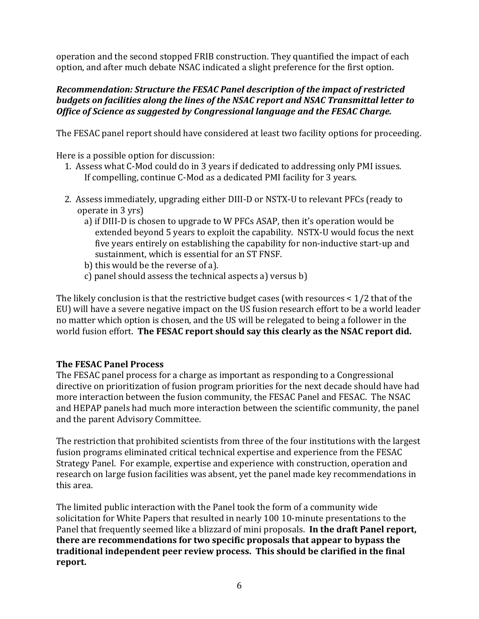operation and the second stopped FRIB construction. They quantified the impact of each option, and after much debate NSAC indicated a slight preference for the first option.

## *Recommendation: Structure the FESAC Panel description of the impact of restricted budgets+on+facilities+along+the+lines+of+the+NSAC+report+and+NSAC+Transmittal+letter+to+ Office of Science as suggested by Congressional language and the FESAC Charge.*

The FESAC panel report should have considered at least two facility options for proceeding.

Here is a possible option for discussion:

- 1. Assess what C-Mod could do in 3 years if dedicated to addressing only PMI issues. If compelling, continue C-Mod as a dedicated PMI facility for 3 years.
- 2. Assess immediately, upgrading either DIII-D or NSTX-U to relevant PFCs (ready to operate in 3 yrs)
	- a) if DIII-D is chosen to upgrade to W PFCs ASAP, then it's operation would be extended beyond 5 years to exploit the capability. NSTX-U would focus the next five years entirely on establishing the capability for non-inductive start-up and sustainment, which is essential for an ST FNSF.
	- b) this would be the reverse of a).
	- c) panel should assess the technical aspects a) versus  $b$ ).

The likely conclusion is that the restrictive budget cases (with resources  $\lt 1/2$  that of the EU) will have a severe negative impact on the US fusion research effort to be a world leader no matter which option is chosen, and the US will be relegated to being a follower in the world fusion effort. The FESAC report should say this clearly as the NSAC report did.

# **The'FESAC'Panel'Process**

The FESAC panel process for a charge as important as responding to a Congressional directive on prioritization of fusion program priorities for the next decade should have had more interaction between the fusion community, the FESAC Panel and FESAC. The NSAC and HEPAP panels had much more interaction between the scientific community, the panel and the parent Advisory Committee.

The restriction that prohibited scientists from three of the four institutions with the largest fusion programs eliminated critical technical expertise and experience from the FESAC Strategy Panel. For example, expertise and experience with construction, operation and research on large fusion facilities was absent, yet the panel made key recommendations in this area.

The limited public interaction with the Panel took the form of a community wide solicitation for White Papers that resulted in nearly 100 10-minute presentations to the Panel that frequently seemed like a blizzard of mini proposals. **In the draft Panel report,** there are recommendations for two specific proposals that appear to bypass the traditional independent peer review process. This should be clarified in the final **report.**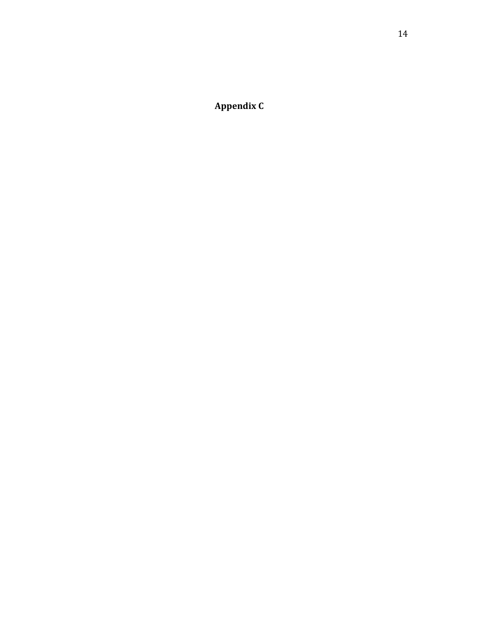**Appendix C**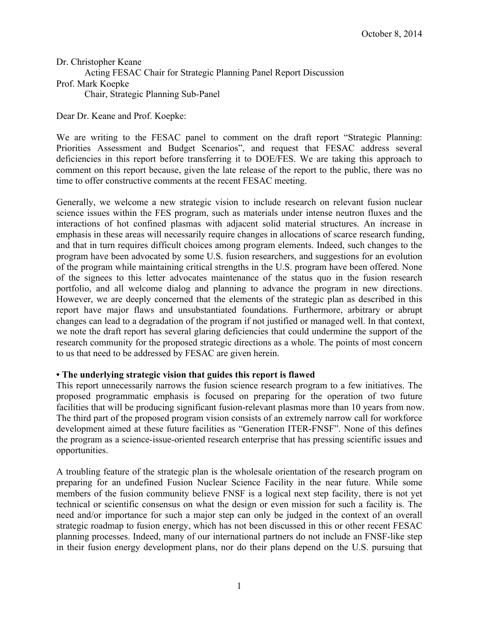Dr. Christopher Keane Acting FESAC Chair for Strategic Planning Panel Report Discussion Prof. Mark Koepke Chair, Strategic Planning Sub-Panel

Dear Dr. Keane and Prof. Koepke:

We are writing to the FESAC panel to comment on the draft report "Strategic Planning: Priorities Assessment and Budget Scenarios", and request that FESAC address several deficiencies in this report before transferring it to DOE/FES. We are taking this approach to comment on this report because, given the late release of the report to the public, there was no time to offer constructive comments at the recent FESAC meeting.

Generally, we welcome a new strategic vision to include research on relevant fusion nuclear science issues within the FES program, such as materials under intense neutron fluxes and the interactions of hot confined plasmas with adjacent solid material structures. An increase in emphasis in these areas will necessarily require changes in allocations of scarce research funding, and that in turn requires difficult choices among program elements. Indeed, such changes to the program have been advocated by some U.S. fusion researchers, and suggestions for an evolution of the program while maintaining critical strengths in the U.S. program have been offered. None of the signees to this letter advocates maintenance of the status quo in the fusion research portfolio, and all welcome dialog and planning to advance the program in new directions. However, we are deeply concerned that the elements of the strategic plan as described in this report have major flaws and unsubstantiated foundations. Furthermore, arbitrary or abrupt changes can lead to a degradation of the program if not justified or managed well. In that context, we note the draft report has several glaring deficiencies that could undermine the support of the research community for the proposed strategic directions as a whole. The points of most concern to us that need to be addressed by FESAC are given herein.

### **• The underlying strategic vision that guides this report is flawed**

This report unnecessarily narrows the fusion science research program to a few initiatives. The proposed programmatic emphasis is focused on preparing for the operation of two future facilities that will be producing significant fusion-relevant plasmas more than 10 years from now. The third part of the proposed program vision consists of an extremely narrow call for workforce development aimed at these future facilities as "Generation ITER-FNSF". None of this defines the program as a science-issue-oriented research enterprise that has pressing scientific issues and opportunities.

A troubling feature of the strategic plan is the wholesale orientation of the research program on preparing for an undefined Fusion Nuclear Science Facility in the near future. While some members of the fusion community believe FNSF is a logical next step facility, there is not yet technical or scientific consensus on what the design or even mission for such a facility is. The need and/or importance for such a major step can only be judged in the context of an overall strategic roadmap to fusion energy, which has not been discussed in this or other recent FESAC planning processes. Indeed, many of our international partners do not include an FNSF-like step in their fusion energy development plans, nor do their plans depend on the U.S. pursuing that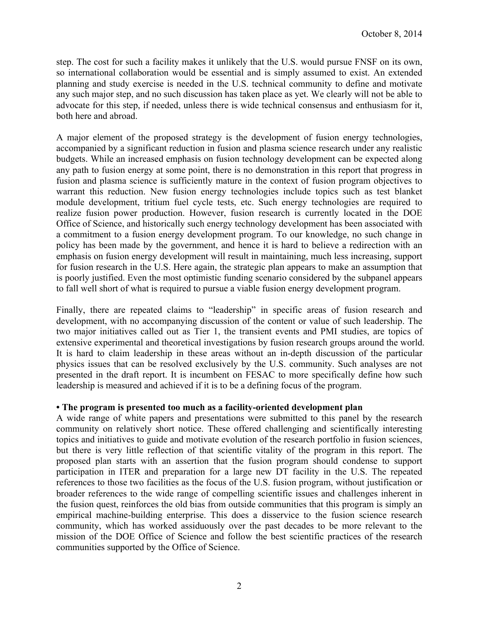step. The cost for such a facility makes it unlikely that the U.S. would pursue FNSF on its own, so international collaboration would be essential and is simply assumed to exist. An extended planning and study exercise is needed in the U.S. technical community to define and motivate any such major step, and no such discussion has taken place as yet. We clearly will not be able to advocate for this step, if needed, unless there is wide technical consensus and enthusiasm for it, both here and abroad.

A major element of the proposed strategy is the development of fusion energy technologies, accompanied by a significant reduction in fusion and plasma science research under any realistic budgets. While an increased emphasis on fusion technology development can be expected along any path to fusion energy at some point, there is no demonstration in this report that progress in fusion and plasma science is sufficiently mature in the context of fusion program objectives to warrant this reduction. New fusion energy technologies include topics such as test blanket module development, tritium fuel cycle tests, etc. Such energy technologies are required to realize fusion power production. However, fusion research is currently located in the DOE Office of Science, and historically such energy technology development has been associated with a commitment to a fusion energy development program. To our knowledge, no such change in policy has been made by the government, and hence it is hard to believe a redirection with an emphasis on fusion energy development will result in maintaining, much less increasing, support for fusion research in the U.S. Here again, the strategic plan appears to make an assumption that is poorly justified. Even the most optimistic funding scenario considered by the subpanel appears to fall well short of what is required to pursue a viable fusion energy development program.

Finally, there are repeated claims to "leadership" in specific areas of fusion research and development, with no accompanying discussion of the content or value of such leadership. The two major initiatives called out as Tier 1, the transient events and PMI studies, are topics of extensive experimental and theoretical investigations by fusion research groups around the world. It is hard to claim leadership in these areas without an in-depth discussion of the particular physics issues that can be resolved exclusively by the U.S. community. Such analyses are not presented in the draft report. It is incumbent on FESAC to more specifically define how such leadership is measured and achieved if it is to be a defining focus of the program.

### **• The program is presented too much as a facility-oriented development plan**

A wide range of white papers and presentations were submitted to this panel by the research community on relatively short notice. These offered challenging and scientifically interesting topics and initiatives to guide and motivate evolution of the research portfolio in fusion sciences, but there is very little reflection of that scientific vitality of the program in this report. The proposed plan starts with an assertion that the fusion program should condense to support participation in ITER and preparation for a large new DT facility in the U.S. The repeated references to those two facilities as the focus of the U.S. fusion program, without justification or broader references to the wide range of compelling scientific issues and challenges inherent in the fusion quest, reinforces the old bias from outside communities that this program is simply an empirical machine-building enterprise. This does a disservice to the fusion science research community, which has worked assiduously over the past decades to be more relevant to the mission of the DOE Office of Science and follow the best scientific practices of the research communities supported by the Office of Science.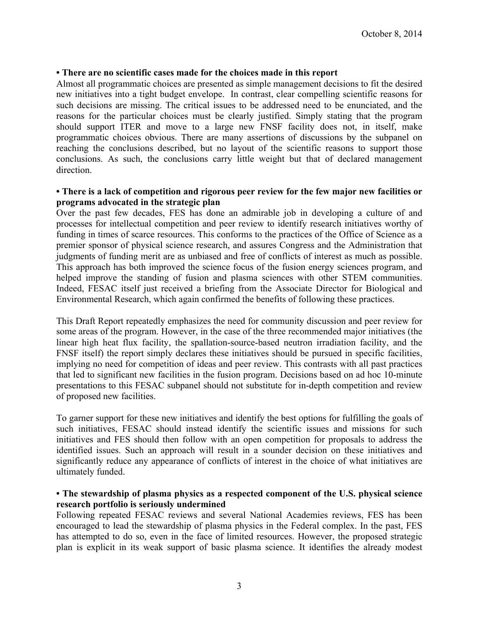### **• There are no scientific cases made for the choices made in this report**

Almost all programmatic choices are presented as simple management decisions to fit the desired new initiatives into a tight budget envelope. In contrast, clear compelling scientific reasons for such decisions are missing. The critical issues to be addressed need to be enunciated, and the reasons for the particular choices must be clearly justified. Simply stating that the program should support ITER and move to a large new FNSF facility does not, in itself, make programmatic choices obvious. There are many assertions of discussions by the subpanel on reaching the conclusions described, but no layout of the scientific reasons to support those conclusions. As such, the conclusions carry little weight but that of declared management direction.

#### **• There is a lack of competition and rigorous peer review for the few major new facilities or programs advocated in the strategic plan**

Over the past few decades, FES has done an admirable job in developing a culture of and processes for intellectual competition and peer review to identify research initiatives worthy of funding in times of scarce resources. This conforms to the practices of the Office of Science as a premier sponsor of physical science research, and assures Congress and the Administration that judgments of funding merit are as unbiased and free of conflicts of interest as much as possible. This approach has both improved the science focus of the fusion energy sciences program, and helped improve the standing of fusion and plasma sciences with other STEM communities. Indeed, FESAC itself just received a briefing from the Associate Director for Biological and Environmental Research, which again confirmed the benefits of following these practices.

This Draft Report repeatedly emphasizes the need for community discussion and peer review for some areas of the program. However, in the case of the three recommended major initiatives (the linear high heat flux facility, the spallation-source-based neutron irradiation facility, and the FNSF itself) the report simply declares these initiatives should be pursued in specific facilities, implying no need for competition of ideas and peer review. This contrasts with all past practices that led to significant new facilities in the fusion program. Decisions based on ad hoc 10-minute presentations to this FESAC subpanel should not substitute for in-depth competition and review of proposed new facilities.

To garner support for these new initiatives and identify the best options for fulfilling the goals of such initiatives, FESAC should instead identify the scientific issues and missions for such initiatives and FES should then follow with an open competition for proposals to address the identified issues. Such an approach will result in a sounder decision on these initiatives and significantly reduce any appearance of conflicts of interest in the choice of what initiatives are ultimately funded.

### **• The stewardship of plasma physics as a respected component of the U.S. physical science research portfolio is seriously undermined**

Following repeated FESAC reviews and several National Academies reviews, FES has been encouraged to lead the stewardship of plasma physics in the Federal complex. In the past, FES has attempted to do so, even in the face of limited resources. However, the proposed strategic plan is explicit in its weak support of basic plasma science. It identifies the already modest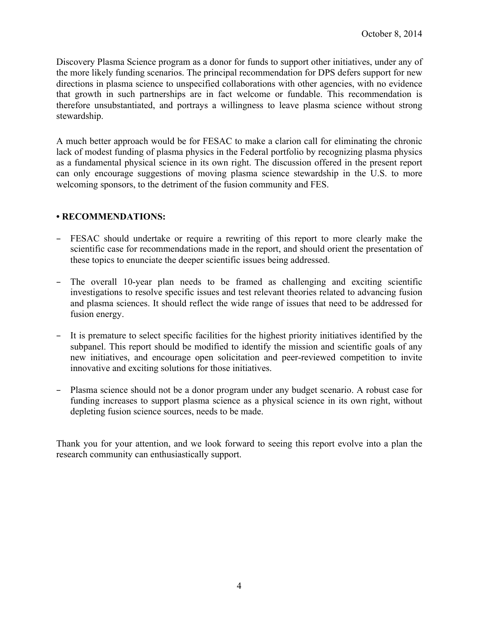Discovery Plasma Science program as a donor for funds to support other initiatives, under any of the more likely funding scenarios. The principal recommendation for DPS defers support for new directions in plasma science to unspecified collaborations with other agencies, with no evidence that growth in such partnerships are in fact welcome or fundable. This recommendation is therefore unsubstantiated, and portrays a willingness to leave plasma science without strong stewardship.

A much better approach would be for FESAC to make a clarion call for eliminating the chronic lack of modest funding of plasma physics in the Federal portfolio by recognizing plasma physics as a fundamental physical science in its own right. The discussion offered in the present report can only encourage suggestions of moving plasma science stewardship in the U.S. to more welcoming sponsors, to the detriment of the fusion community and FES.

### **• RECOMMENDATIONS:**

- FESAC should undertake or require a rewriting of this report to more clearly make the scientific case for recommendations made in the report, and should orient the presentation of these topics to enunciate the deeper scientific issues being addressed.
- The overall 10-year plan needs to be framed as challenging and exciting scientific investigations to resolve specific issues and test relevant theories related to advancing fusion and plasma sciences. It should reflect the wide range of issues that need to be addressed for fusion energy.
- It is premature to select specific facilities for the highest priority initiatives identified by the subpanel. This report should be modified to identify the mission and scientific goals of any new initiatives, and encourage open solicitation and peer-reviewed competition to invite innovative and exciting solutions for those initiatives.
- Plasma science should not be a donor program under any budget scenario. A robust case for funding increases to support plasma science as a physical science in its own right, without depleting fusion science sources, needs to be made.

Thank you for your attention, and we look forward to seeing this report evolve into a plan the research community can enthusiastically support.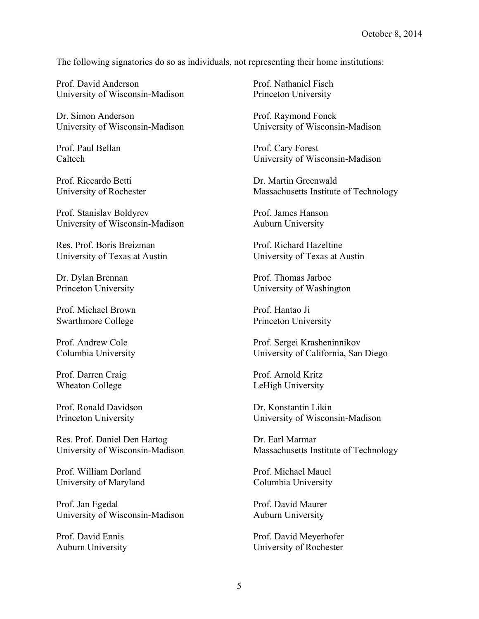The following signatories do so as individuals, not representing their home institutions:

Prof. David Anderson University of Wisconsin-Madison

Dr. Simon Anderson University of Wisconsin-Madison

Prof. Paul Bellan Caltech

Prof. Riccardo Betti University of Rochester

Prof. Stanislav Boldyrev University of Wisconsin-Madison

Res. Prof. Boris Breizman University of Texas at Austin

Dr. Dylan Brennan Princeton University

Prof. Michael Brown Swarthmore College

Prof. Andrew Cole Columbia University

Prof. Darren Craig Wheaton College

Prof. Ronald Davidson Princeton University

Res. Prof. Daniel Den Hartog University of Wisconsin-Madison

Prof. William Dorland University of Maryland

Prof. Jan Egedal University of Wisconsin-Madison

Prof. David Ennis Auburn University Prof. Nathaniel Fisch Princeton University

Prof. Raymond Fonck University of Wisconsin-Madison

Prof. Cary Forest University of Wisconsin-Madison

Dr. Martin Greenwald Massachusetts Institute of Technology

Prof. James Hanson Auburn University

Prof. Richard Hazeltine University of Texas at Austin

Prof. Thomas Jarboe University of Washington

Prof. Hantao Ji Princeton University

Prof. Sergei Krasheninnikov University of California, San Diego

Prof. Arnold Kritz LeHigh University

Dr. Konstantin Likin University of Wisconsin-Madison

Dr. Earl Marmar Massachusetts Institute of Technology

Prof. Michael Mauel Columbia University

Prof. David Maurer Auburn University

Prof. David Meyerhofer University of Rochester